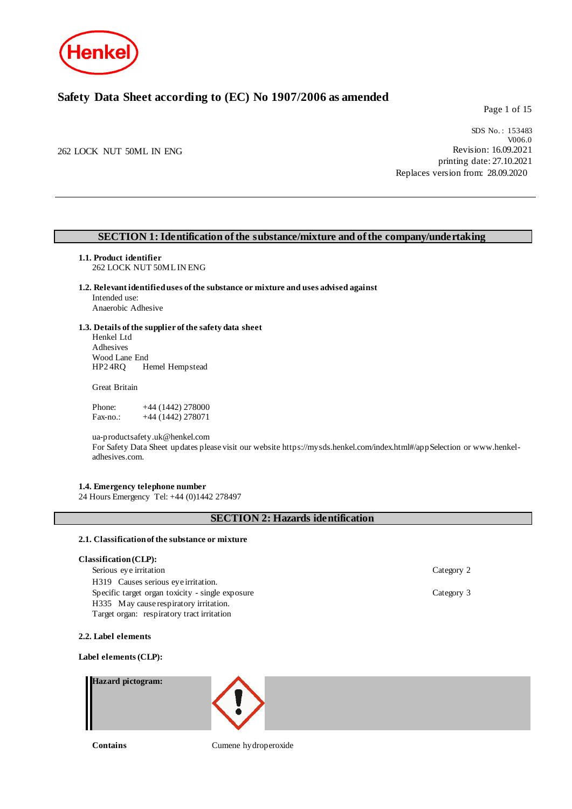

# **Safety Data Sheet according to (EC) No 1907/2006 as amended**

Page 1 of 15

262 LOCK NUT 50ML IN ENG

SDS No. : 153483 V006.0 Revision: 16.09.2021 printing date: 27.10.2021 Replaces version from: 28.09.2020

## **SECTION 1: Identification of the substance/mixture and of the company/undertaking**

**1.1. Product identifier**

262 LOCK NUT 50ML IN ENG

**1.2. Relevant identified uses of the substance or mixture and uses advised against** Intended use: Anaerobic Adhesive

### **1.3. Details of the supplier of the safety data sheet**

Henkel Ltd Adhesives Wood Lane End<br>HP2 4RO He Hemel Hempstead

Great Britain

Phone: +44 (1442) 278000<br>Fax-no.: +44 (1442) 278071  $+44$  (1442) 278071

ua-productsafety.uk@henkel.com

For Safety Data Sheet updates please visit our website https://mysds.henkel.com/index.html#/appSelection or www.henkeladhesives.com.

### **1.4. Emergency telephone number**

24 Hours Emergency Tel: +44 (0)1442 278497

### **SECTION 2: Hazards identification**

#### **2.1. Classification of the substance or mixture**

#### **Classification (CLP):**

Serious eye irritation Category 2 H319 Causes serious eye irritation. Specific target organ toxicity - single exposure Category 3 H335 May cause respiratory irritation. Target organ: respiratory tract irritation

**2.2. Label elements**

#### **Label elements (CLP):**

#### **Hazard pictogram:**



**Contains** Cumene hydroperoxide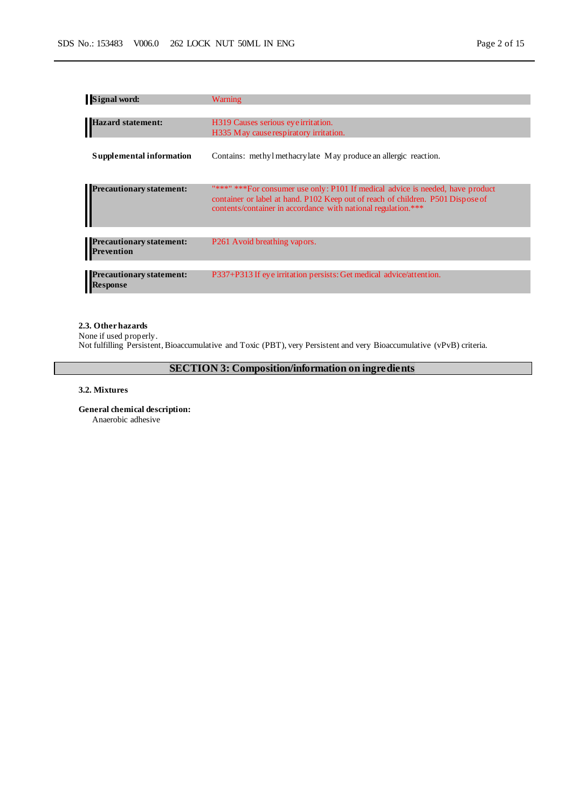| <b>Signal word:</b>                                  | Warning                                                                                                                                                                                                                             |
|------------------------------------------------------|-------------------------------------------------------------------------------------------------------------------------------------------------------------------------------------------------------------------------------------|
|                                                      |                                                                                                                                                                                                                                     |
| Hazard statement:                                    | H319 Causes serious eye irritation.                                                                                                                                                                                                 |
|                                                      | H335 May cause respiratory irritation.                                                                                                                                                                                              |
| Supplemental information                             | Contains: methyl methacrylate May produce an allergic reaction.                                                                                                                                                                     |
| <b>Precautionary statement:</b>                      | "***" *** For consumer use only: P101 If medical advice is needed, have product<br>container or label at hand. P102 Keep out of reach of children. P501 Dispose of<br>contents/container in accordance with national regulation.*** |
|                                                      |                                                                                                                                                                                                                                     |
| <b>Precautionary statement:</b><br><b>Prevention</b> | P261 Avoid breathing vapors.                                                                                                                                                                                                        |
| <b>Precautionary statement:</b><br><b>Response</b>   | P337+P313 If eye irritation persists: Get medical advice/attention.                                                                                                                                                                 |

### **2.3. Other hazards**

None if used properly.

Not fulfilling Persistent, Bioaccumulative and Toxic (PBT), very Persistent and very Bioaccumulative (vPvB) criteria.

**SECTION 3: Composition/information on ingredients**

### **3.2. Mixtures**

**General chemical description:** Anaerobic adhesive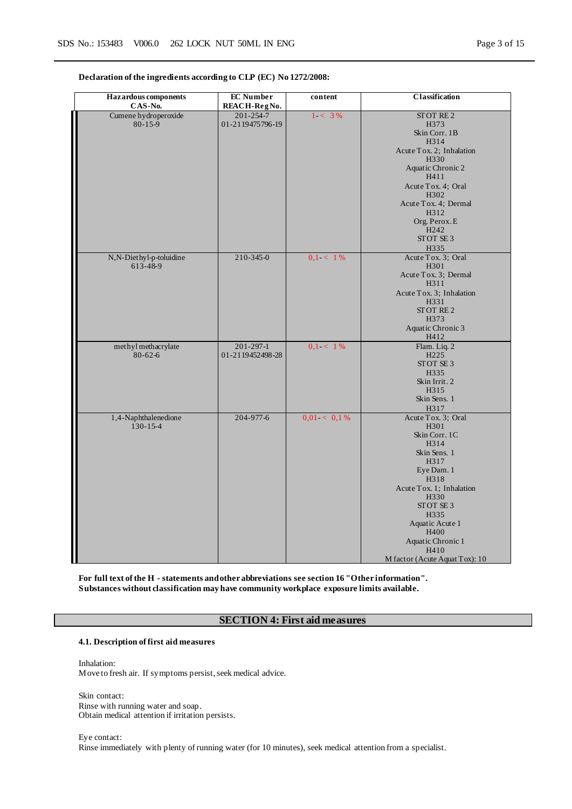**Declaration of the ingredients according to CLP (EC) No 1272/2008:**

| <b>Hazardous</b> components<br>CAS-No. | <b>EC</b> Number<br>REACH-RegNo.    | content        | Classification                                                                                                                                                                                                                                                  |
|----------------------------------------|-------------------------------------|----------------|-----------------------------------------------------------------------------------------------------------------------------------------------------------------------------------------------------------------------------------------------------------------|
| Cumene hydroperoxide<br>$80 - 15 - 9$  | $201 - 254 - 7$<br>01-2119475796-19 | $1 - 3\%$      | STOT RE2<br>H373<br>Skin Corr. 1B<br>H314<br>Acute Tox. 2; Inhalation<br>H330<br>Aquatic Chronic 2<br>H411<br>Acute Tox. 4; Oral<br>H302<br>Acute Tox. 4; Dermal<br>H312<br>Org. Perox. E<br>H <sub>242</sub><br>STOT SE 3<br>H335                              |
| N,N-Diethyl-p-toluidine<br>613-48-9    | $210 - 345 - 0$                     | $0.1 < 1\%$    | Acute Tox. 3; Oral<br>H301<br>Acute Tox. 3; Dermal<br>H311<br>Acute Tox. 3; Inhalation<br>H331<br>STOT RE2<br>H373<br>Aquatic Chronic 3<br>H412                                                                                                                 |
| methyl methacrylate<br>$80 - 62 - 6$   | $201 - 297 - 1$<br>01-2119452498-28 | $0.1 < 1\%$    | Flam. Liq. 2<br>H <sub>225</sub><br>STOT SE <sub>3</sub><br>H335<br>Skin Irrit. 2<br>H315<br>Skin Sens. 1<br>H317                                                                                                                                               |
| 1,4-Naphthalenedione<br>$130 - 15 - 4$ | 204-977-6                           | $0.01 < 0.1\%$ | Acute Tox. 3; Oral<br>H301<br>Skin Corr. 1C<br>H314<br>Skin Sens. 1<br>H317<br>Eye Dam. 1<br>H318<br>Acute Tox. 1; Inhalation<br>H330<br>STOT SE <sub>3</sub><br>H335<br>Aquatic Acute 1<br>H400<br>Aquatic Chronic 1<br>H410<br>M factor (Acute Aquat Tox): 10 |

**For full text of the H - statements and other abbreviations see section 16 "Other information". Substances without classification may have community workplace exposure limits available.**

### **SECTION 4: First aid measures**

**4.1. Description of first aid measures**

Inhalation: Move to fresh air. If symptoms persist, seek medical advice.

Skin contact: Rinse with running water and soap. Obtain medical attention if irritation persists.

Eye contact: Rinse immediately with plenty of running water (for 10 minutes), seek medical attention from a specialist.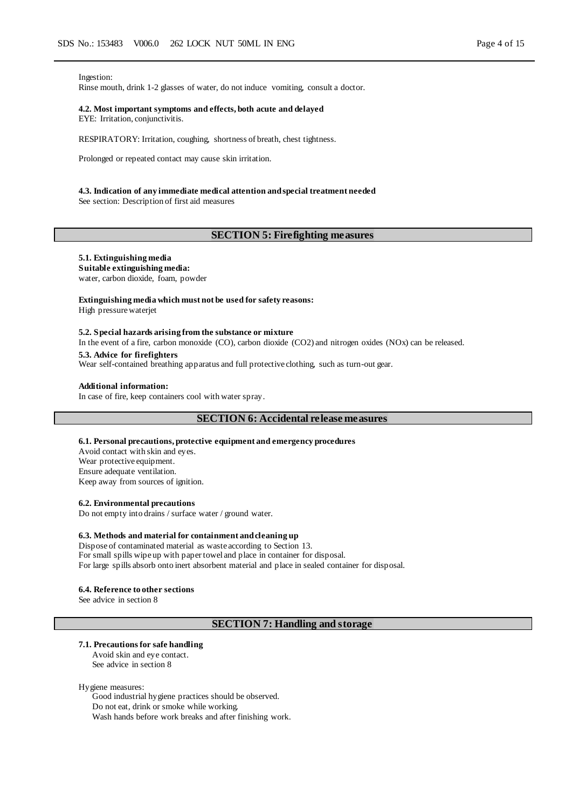Ingestion:

Rinse mouth, drink 1-2 glasses of water, do not induce vomiting, consult a doctor.

#### **4.2. Most important symptoms and effects, both acute and delayed** EYE: Irritation, conjunctivitis.

RESPIRATORY: Irritation, coughing, shortness of breath, chest tightness.

Prolonged or repeated contact may cause skin irritation.

#### **4.3. Indication of any immediate medical attention and special treatment needed**

See section: Description of first aid measures

### **SECTION 5: Firefighting measures**

#### **5.1. Extinguishing media**

**Suitable extinguishing media:**

water, carbon dioxide, foam, powder

#### **Extinguishing media which must not be used for safety reasons:**

High pressure waterjet

#### **5.2. Special hazards arising from the substance or mixture**

In the event of a fire, carbon monoxide (CO), carbon dioxide (CO2) and nitrogen oxides (NOx) can be released. **5.3. Advice for firefighters**

Wear self-contained breathing apparatus and full protective clothing, such as turn-out gear.

#### **Additional information:**

In case of fire, keep containers cool with water spray.

#### **SECTION 6: Accidental release measures**

#### **6.1. Personal precautions, protective equipment and emergency procedures**

Avoid contact with skin and eyes. Wear protective equipment. Ensure adequate ventilation. Keep away from sources of ignition.

#### **6.2. Environmental precautions**

Do not empty into drains / surface water / ground water.

#### **6.3. Methods and material for containment and cleaning up**

Dispose of contaminated material as waste according to Section 13. For small spills wipe up with paper towel and place in container for disposal. For large spills absorb onto inert absorbent material and place in sealed container for disposal.

#### **6.4. Reference to other sections**

See advice in section 8

#### **SECTION 7: Handling and storage**

#### **7.1. Precautions for safe handling**

Avoid skin and eye contact. See advice in section 8

Hygiene measures:

Good industrial hygiene practices should be observed. Do not eat, drink or smoke while working. Wash hands before work breaks and after finishing work.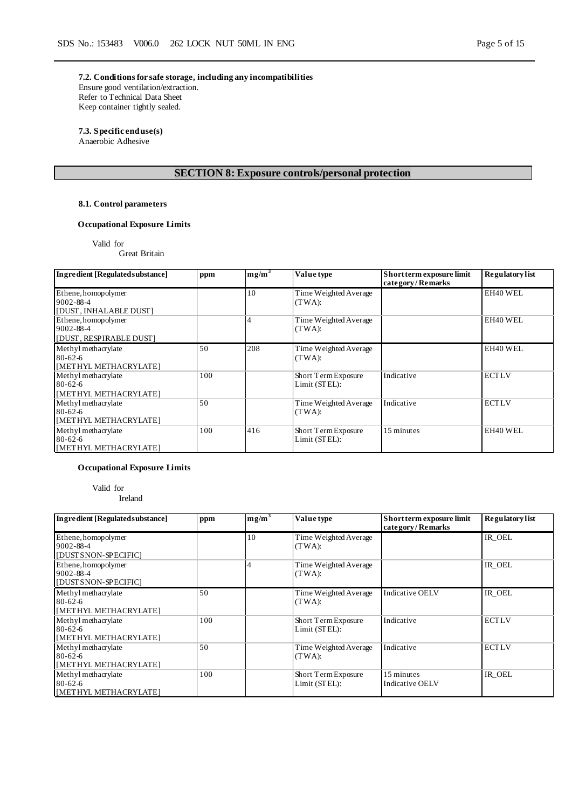**7.2. Conditions for safe storage, including any incompatibilities** Ensure good ventilation/extraction. Refer to Technical Data Sheet Keep container tightly sealed.

# **7.3. Specific end use(s)**

Anaerobic Adhesive

# **SECTION 8: Exposure controls/personal protection**

### **8.1. Control parameters**

### **Occupational Exposure Limits**

Valid for

Great Britain

| Ingredient [Regulated substance]                              | ppm | $mg/m^3$ | Value type                           | Short term exposure limit<br>category/Remarks | <b>Regulatory list</b> |
|---------------------------------------------------------------|-----|----------|--------------------------------------|-----------------------------------------------|------------------------|
| Ethene, homopolymer<br>9002-88-4<br>[DUST, INHALABLE DUST]    |     | 10       | Time Weighted Average<br>(TWA):      |                                               | EH40 WEL               |
| Ethene, homopolymer<br>9002-88-4<br>[DUST, RESPIRABLE DUST]   |     |          | Time Weighted Average<br>(TWA):      |                                               | EH40 WEL               |
| Methyl methacrylate<br>$80 - 62 - 6$<br>[METHYL METHACRYLATE] | 50  | 208      | Time Weighted Average<br>(TWA):      |                                               | EH40 WEL               |
| Methyl methacrylate<br>$80 - 62 - 6$<br>[METHYL METHACRYLATE] | 100 |          | Short Term Exposure<br>Limit (STEL): | Indicative                                    | <b>ECTLV</b>           |
| Methyl methacrylate<br>$80 - 62 - 6$<br>[METHYL METHACRYLATE] | 50  |          | Time Weighted Average<br>(TWA):      | Indicative                                    | <b>ECTLV</b>           |
| Methyl methacrylate<br>$80 - 62 - 6$<br>[METHYL METHACRYLATE] | 100 | 416      | Short Term Exposure<br>Limit (STEL): | 15 minutes                                    | EH40 WEL               |

## **Occupational Exposure Limits**

Valid for

Ireland

| Ingredient [Regulated substance]                               | ppm | $mg/m^3$ | Value type                           | Short term exposure limit<br>category/Remarks | <b>Regulatory</b> list |
|----------------------------------------------------------------|-----|----------|--------------------------------------|-----------------------------------------------|------------------------|
| Ethene, homopolymer<br>9002-88-4<br>[DUST SNON-SPECIFIC]       |     | 10       | Time Weighted Average<br>(TWA):      |                                               | IR OEL                 |
| Ethene, homopolymer<br>9002-88-4<br>[DUST SNON-SPECIFIC]       |     |          | Time Weighted Average<br>(TWA):      |                                               | IR OEL                 |
| Methyl methacrylate<br>$80 - 62 - 6$<br>[METHYL METHACRYLATE]  | 50  |          | Time Weighted Average<br>(TWA):      | Indicative OELV                               | IR OEL                 |
| Methyl methacrylate<br>$80-62-6$<br>[METHYL METHACRYLATE]      | 100 |          | Short Term Exposure<br>Limit (STEL): | Indicative                                    | <b>ECTLV</b>           |
| Methyl methacrylate<br>$80 - 62 - 6$<br>[METHYL METHACRYLATE]  | 50  |          | Time Weighted Average<br>(TWA):      | Indicative                                    | <b>ECTLV</b>           |
| Methyl methacrylate<br>$80 - 62 - 6$<br> IMETHYL METHACRYLATE] | 100 |          | Short Term Exposure<br>Limit (STEL): | 15 minutes<br>Indicative OELV                 | IR OEL                 |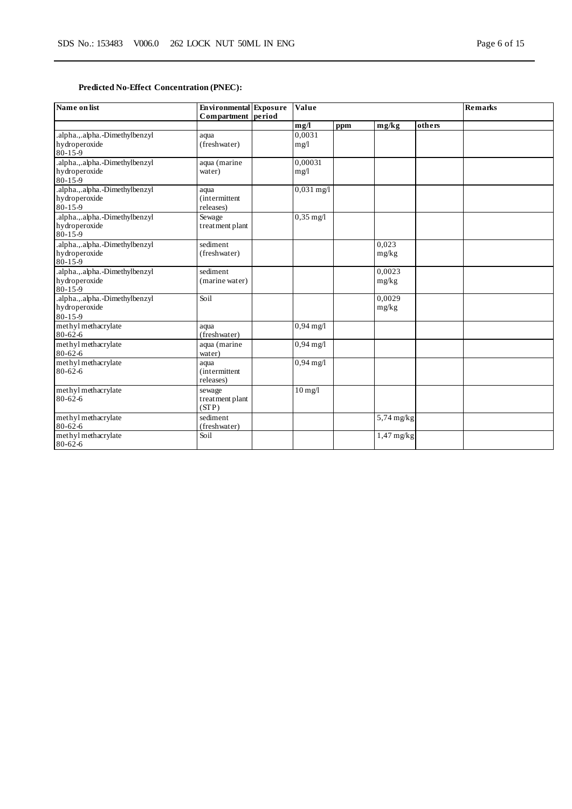# **Predicted No-Effect Concentration (PNEC):**

| Name on list                                                     | <b>Environmental</b> Exposure<br>Compartment period | Value               |     |                 |        | <b>Remarks</b> |
|------------------------------------------------------------------|-----------------------------------------------------|---------------------|-----|-----------------|--------|----------------|
|                                                                  |                                                     | mg/l                | ppm | mg/kg           | others |                |
| .alpha.,.alpha.-Dimethylbenzyl<br>hydroperoxide<br>$80 - 15 - 9$ | aqua<br>(freshwater)                                | 0.0031<br>mg/1      |     |                 |        |                |
| .alpha.,.alpha.-Dimethylbenzyl<br>hydroperoxide<br>80-15-9       | aqua (marine<br>water)                              | 0,00031<br>mg/l     |     |                 |        |                |
| .alpha.,.alpha.-Dimethylbenzyl<br>hydroperoxide<br>$80 - 15 - 9$ | aqua<br><i>(intermittent)</i><br>releases)          | $0,031$ mg/l        |     |                 |        |                |
| .alpha.,.alpha.-Dimethylbenzyl<br>hydroperoxide<br>$80 - 15 - 9$ | Sewage<br>treatment plant                           | $0,35 \text{ mg}/1$ |     |                 |        |                |
| .alpha.,.alpha.-Dimethylbenzyl<br>hydroperoxide<br>80-15-9       | sediment<br>(freshwater)                            |                     |     | 0.023<br>mg/kg  |        |                |
| .alpha.,.alpha.-Dimethylbenzyl<br>hydroperoxide<br>$80 - 15 - 9$ | sediment<br>(marine water)                          |                     |     | 0,0023<br>mg/kg |        |                |
| .alpha.,.alpha.-Dimethylbenzyl<br>hydroperoxide<br>80-15-9       | Soil                                                |                     |     | 0.0029<br>mg/kg |        |                |
| methyl methacrylate<br>$80 - 62 - 6$                             | aqua<br>(freshwater)                                | $0,94 \text{ mg}/1$ |     |                 |        |                |
| methyl methacrylate<br>$80 - 62 - 6$                             | aqua (marine<br>water)                              | $0,94$ mg/l         |     |                 |        |                |
| methyl methacrylate<br>$80 - 62 - 6$                             | aqua<br><i>(intermittent)</i><br>releases)          | $0,94 \text{ mg}/1$ |     |                 |        |                |
| methyl methacrylate<br>$80 - 62 - 6$                             | sewage<br>treatment plant<br>(STP)                  | $10 \text{ mg/l}$   |     |                 |        |                |
| methyl methacrylate<br>$80 - 62 - 6$                             | sediment<br>(freshwater)                            |                     |     | $5,74$ mg/kg    |        |                |
| methyl methacrylate<br>$80 - 62 - 6$                             | Soil                                                |                     |     | $1,47$ mg/kg    |        |                |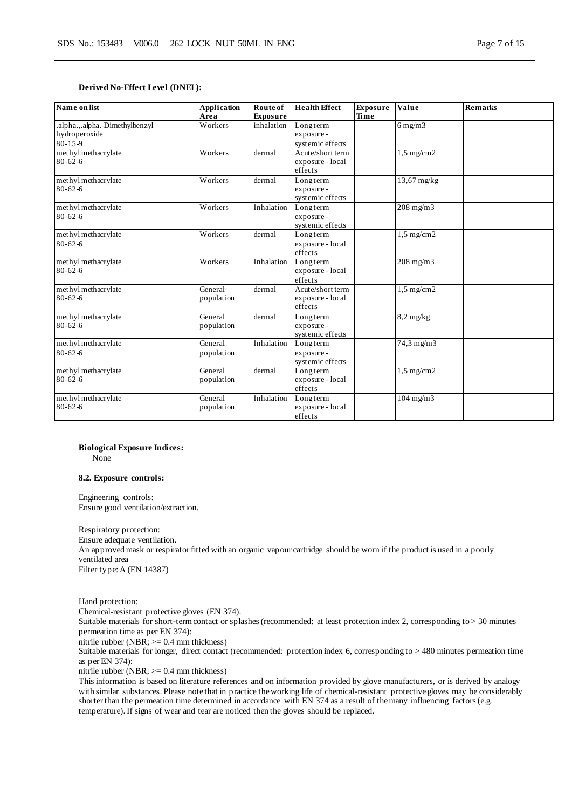#### **Derived No-Effect Level (DNEL):**

| Name on list                                                     | <b>Application</b><br>Area | Route of<br><b>Exposure</b> | <b>Health Effect</b>                            | <b>Exposure</b><br>Time | Value                | <b>Remarks</b> |
|------------------------------------------------------------------|----------------------------|-----------------------------|-------------------------------------------------|-------------------------|----------------------|----------------|
| .alpha.,.alpha.-Dimethylbenzyl<br>hydroperoxide<br>$80 - 15 - 9$ | Workers                    | inhalation                  | Longterm<br>exposure -<br>systemic effects      |                         | $6$ mg/m $3$         |                |
| methyl methacrylate<br>$80 - 62 - 6$                             | Workers                    | dermal                      | Acute/short term<br>exposure - local<br>effects |                         | $1,5 \text{ mg/cm2}$ |                |
| methyl methacrylate<br>$80 - 62 - 6$                             | Workers                    | dermal                      | Longterm<br>exposure -<br>systemic effects      |                         | 13,67 mg/kg          |                |
| methyl methacrylate<br>$80 - 62 - 6$                             | Workers                    | Inhalation                  | Longterm<br>exposure -<br>systemic effects      |                         | $208$ mg/m $3$       |                |
| methyl methacrylate<br>$80 - 62 - 6$                             | Workers                    | dermal                      | Longterm<br>exposure - local<br>effects         |                         | $1.5 \text{ mg/cm2}$ |                |
| methyl methacrylate<br>$80 - 62 - 6$                             | Workers                    | Inhalation                  | Longterm<br>exposure - local<br>effects         |                         | $208$ mg/m $3$       |                |
| methyl methacrylate<br>$80 - 62 - 6$                             | General<br>population      | dermal                      | Acute/short term<br>exposure - local<br>effects |                         | $1,5 \text{ mg/cm2}$ |                |
| methyl methacrylate<br>$80 - 62 - 6$                             | General<br>population      | dermal                      | Longterm<br>exposure -<br>systemic effects      |                         | $8,2$ mg/kg          |                |
| methyl methacrylate<br>$80 - 62 - 6$                             | General<br>population      | Inhalation                  | Longterm<br>exposure -<br>systemic effects      |                         | 74,3 mg/m3           |                |
| methyl methacrylate<br>$80 - 62 - 6$                             | General<br>population      | dermal                      | Longterm<br>exposure - local<br>effects         |                         | $1,5 \text{ mg/cm2}$ |                |
| methyl methacrylate<br>$80 - 62 - 6$                             | General<br>population      | Inhalation                  | Longterm<br>exposure - local<br>effects         |                         | $104$ mg/m $3$       |                |

#### **Biological Exposure Indices:**

None

#### **8.2. Exposure controls:**

Engineering controls: Ensure good ventilation/extraction.

Respiratory protection: Ensure adequate ventilation. An approved mask or respirator fitted with an organic vapour cartridge should be worn if the product is used in a poorly ventilated area Filter type: A (EN 14387)

Hand protection: Chemical-resistant protective gloves (EN 374). Suitable materials for short-term contact or splashes (recommended: at least protection index 2, corresponding to > 30 minutes permeation time as per EN 374):

nitrile rubber (NBR; >= 0.4 mm thickness)

Suitable materials for longer, direct contact (recommended: protection index 6, corresponding to > 480 minutes permeation time as per EN 374):

nitrile rubber (NBR; >= 0.4 mm thickness)

This information is based on literature references and on information provided by glove manufacturers, or is derived by analogy with similar substances. Please note that in practice the working life of chemical-resistant protective gloves may be considerably shorter than the permeation time determined in accordance with EN 374 as a result of the many influencing factors (e.g. temperature). If signs of wear and tear are noticed then the gloves should be replaced.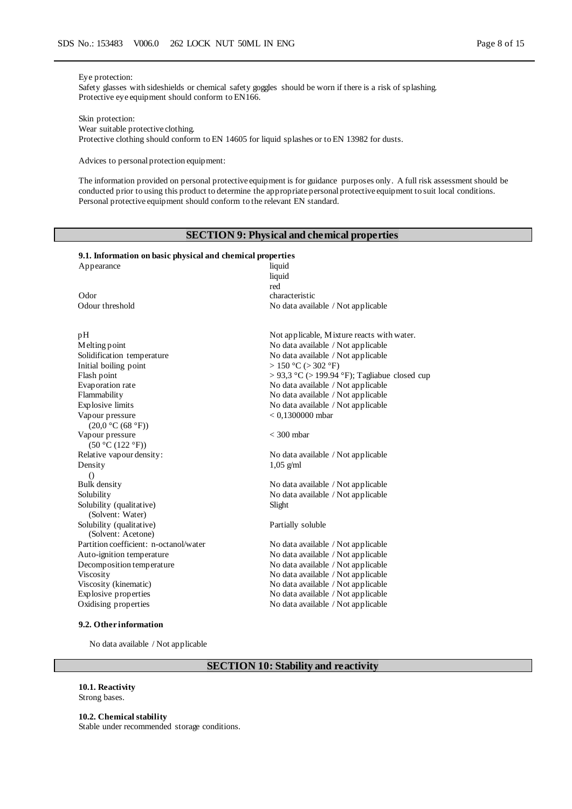#### Eye protection:

Safety glasses with sideshields or chemical safety goggles should be worn if there is a risk of splashing. Protective eye equipment should conform to EN166.

Skin protection:

Wear suitable protective clothing. Protective clothing should conform to EN 14605 for liquid splashes or to EN 13982 for dusts.

Advices to personal protection equipment:

The information provided on personal protective equipment is for guidance purposes only. A full risk assessment should be conducted prior to using this product to determine the appropriate personal protective equipment to suit local conditions. Personal protective equipment should conform to the relevant EN standard.

### **SECTION 9: Physical and chemical properties**

# **9.1. Information on basic physical and chemical properties**

| Appearance                             | liquid                                             |
|----------------------------------------|----------------------------------------------------|
|                                        | liquid                                             |
| Odor                                   | red<br>characteristic                              |
|                                        |                                                    |
| Odour threshold                        | No data available / Not applicable                 |
|                                        |                                                    |
| pН                                     | Not applicable, Mixture reacts with water.         |
| Melting point                          | No data available / Not applicable                 |
| Solidification temperature             | No data available / Not applicable                 |
| Initial boiling point                  | > 150 °C (> 302 °F)                                |
| Flash point                            | $> 93.3$ °C ( $> 199.94$ °F); Tagliabue closed cup |
| Evaporation rate                       | No data available / Not applicable                 |
| Flammability                           | No data available / Not applicable                 |
| Explosive limits                       | No data available / Not applicable                 |
| Vapour pressure                        | $< 0.1300000$ mbar                                 |
| (20,0 °C (68 °F))                      |                                                    |
| Vapour pressure                        | $<$ 300 mbar                                       |
| (50 °C (122 °F))                       |                                                    |
| Relative vapour density:               | No data available / Not applicable                 |
| Density                                | $1,05$ g/ml                                        |
| $\left( \right)$                       |                                                    |
| Bulk density                           | No data available / Not applicable                 |
| Solubility                             | No data available / Not applicable                 |
| Solubility (qualitative)               | Slight                                             |
| (Solvent: Water)                       |                                                    |
| Solubility (qualitative)               | Partially soluble                                  |
| (Solvent: Acetone)                     |                                                    |
| Partition coefficient: n-octanol/water | No data available / Not applicable                 |
| Auto-ignition temperature              | No data available / Not applicable                 |
| Decomposition temperature              | No data available / Not applicable                 |
| Viscosity                              | No data available / Not applicable                 |
| Viscosity (kinematic)                  | No data available / Not applicable                 |
| Explosive properties                   | No data available / Not applicable                 |
| Oxidising properties                   | No data available / Not applicable                 |
|                                        |                                                    |

#### **9.2. Other information**

No data available / Not applicable

# **SECTION 10: Stability and reactivity**

**10.1. Reactivity** Strong bases.

#### **10.2. Chemical stability**

Stable under recommended storage conditions.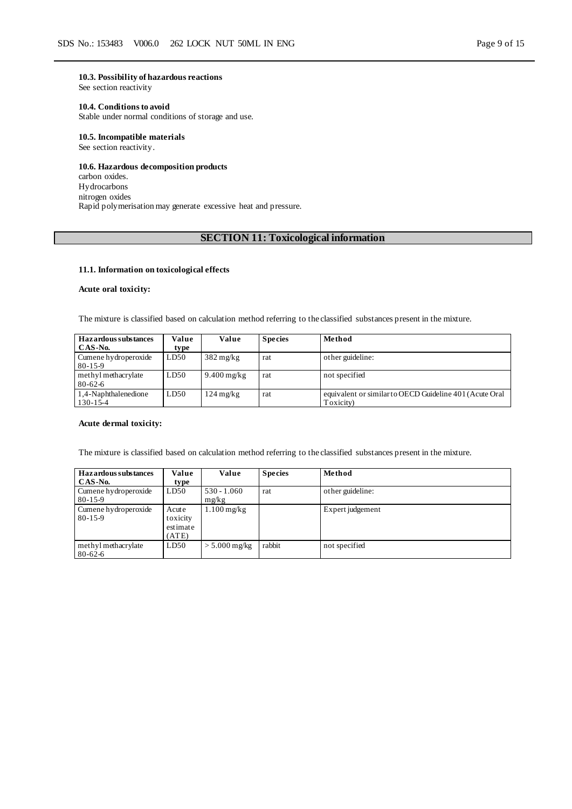#### **10.3. Possibility of hazardous reactions**

See section reactivity

### **10.4. Conditions to avoid**

Stable under normal conditions of storage and use.

#### **10.5. Incompatible materials**

See section reactivity.

### **10.6. Hazardous decomposition products**

carbon oxides. Hydrocarbons nitrogen oxides Rapid polymerisation may generate excessive heat and pressure.

# **SECTION 11: Toxicological information**

#### **11.1. Information on toxicological effects**

### **Acute oral toxicity:**

The mixture is classified based on calculation method referring to the classified substances present in the mixture.

| <b>Hazardous substances</b><br>CAS-No. | Value<br>type | Value               | <b>Species</b> | Method                                                               |
|----------------------------------------|---------------|---------------------|----------------|----------------------------------------------------------------------|
| Cumene hydroperoxide<br>$80 - 15 - 9$  | LD50          | $382 \text{ mg/kg}$ | rat            | other guideline:                                                     |
| methyl methacrylate<br>$80 - 62 - 6$   | LD50          | $9.400$ mg/kg       | rat            | not specified                                                        |
| 1,4-Naphthalenedione<br>130-15-4       | LD50          | $124 \text{ mg/kg}$ | rat            | equivalent or similar to OECD Guideline 401 (Acute Oral<br>Toxicity) |

#### **Acute dermal toxicity:**

The mixture is classified based on calculation method referring to the classified substances present in the mixture.

| Hazardous substances<br>CAS-No.       | Value<br>type                          | Value                  | <b>Species</b> | Method           |
|---------------------------------------|----------------------------------------|------------------------|----------------|------------------|
| Cumene hydroperoxide<br>$80 - 15 - 9$ | LD50                                   | $530 - 1.060$<br>mg/kg | rat            | other guideline: |
| Cumene hydroperoxide<br>$80 - 15 - 9$ | Acute<br>toxicity<br>estimate<br>(ATE) | $1.100 \text{ mg/kg}$  |                | Expert judgement |
| methyl methacrylate<br>$80 - 62 - 6$  | LD50                                   | $> 5.000$ mg/kg        | rabbit         | not specified    |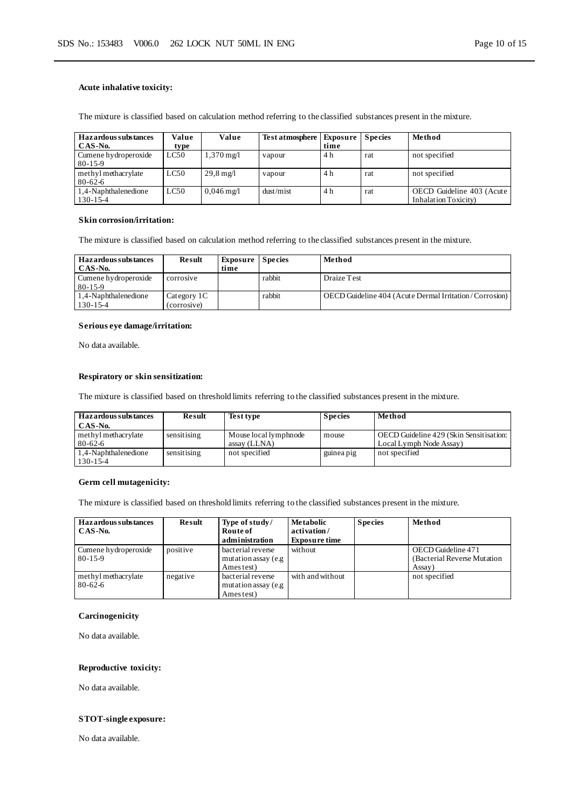#### **Acute inhalative toxicity:**

| <b>Hazardous substances</b><br>CAS-No. | Value<br>type | Value                   | Test atmosphere | <b>Exposure</b><br>time | <b>Species</b> | Method                                                    |
|----------------------------------------|---------------|-------------------------|-----------------|-------------------------|----------------|-----------------------------------------------------------|
| Cumene hydroperoxide<br>$80 - 15 - 9$  | LC50          | $1,370 \text{ mg}/1$    | vapour          | 4 h                     | rat            | not specified                                             |
| methyl methacrylate<br>$80 - 62 - 6$   | LC50          | $29.8 \,\mathrm{mg}$    | vapour          | 4 h                     | rat            | not specified                                             |
| 1,4-Naphthalenedione<br>130-15-4       | LC50          | $0.046 \,\mathrm{mg}/l$ | dust/mist       | 4 h                     | rat            | OECD Guideline 403 (Acute<br><b>Inhalation Toxicity</b> ) |

The mixture is classified based on calculation method referring to the classified substances present in the mixture.

#### **Skin corrosion/irritation:**

The mixture is classified based on calculation method referring to the classified substances present in the mixture.

| <b>Hazardous substances</b><br>CAS-No. | <b>Result</b>              | <b>Exposure</b> Species<br>time |        | Method                                                 |
|----------------------------------------|----------------------------|---------------------------------|--------|--------------------------------------------------------|
| Cumene hydroperoxide<br>$80 - 15 - 9$  | corrosive                  |                                 | rabbit | Draize Test                                            |
| 1.4-Naphthalenedione<br>$130 - 15 - 4$ | Category 1C<br>(corrosive) |                                 | rabbit | OECD Guideline 404 (Acute Dermal Irritation/Corrosion) |

#### **Serious eye damage/irritation:**

No data available.

### **Respiratory or skin sensitization:**

The mixture is classified based on threshold limits referring to the classified substances present in the mixture.

| <b>Hazardous substances</b> | Result      | Test type             | <b>Species</b> | Method                                  |
|-----------------------------|-------------|-----------------------|----------------|-----------------------------------------|
| CAS-No.                     |             |                       |                |                                         |
| methyl methacrylate         | sensitising | Mouse local lymphnode | mouse          | OECD Guideline 429 (Skin Sensitisation: |
| $80 - 62 - 6$               |             | assay (LLNA)          |                | Local Lymph Node Assay)                 |
| 1.4-Naphthalenedione        | sensitising | not specified         | guinea pig     | not specified                           |
| 130-15-4                    |             |                       |                |                                         |

#### **Germ cell mutagenicity:**

The mixture is classified based on threshold limits referring to the classified substances present in the mixture.

| Hazardous substances<br>CAS-No.       | Result   | Type of study/<br>Route of<br>administration            | Metabolic<br>activation/<br><b>Exposure time</b> | <b>Species</b> | Method                                                       |
|---------------------------------------|----------|---------------------------------------------------------|--------------------------------------------------|----------------|--------------------------------------------------------------|
| Cumene hydroperoxide<br>$80 - 15 - 9$ | positive | bacterial reverse<br>mutation assay (e.g.<br>Ames test) | without                                          |                | OECD Guideline 471<br>(Bacterial Reverse Mutation)<br>Assay) |
| methyl methacrylate<br>80-62-6        | negative | bacterial reverse<br>mutation assay (e.g.<br>Ames test) | with and without                                 |                | not specified                                                |

### **Carcinogenicity**

No data available.

### **Reproductive toxicity:**

No data available.

### **STOT-single exposure:**

No data available.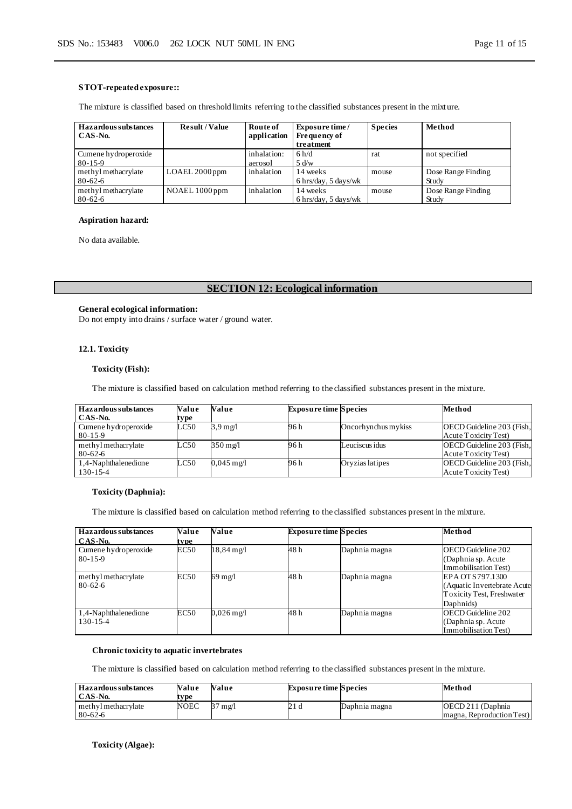#### **STOT-repeated exposure::**

The mixture is classified based on threshold limits referring to the classified substances present in the mixt ure.

| Hazardous substances | <b>Result / Value</b> | Route of    | <b>Exposure time</b>                   | <b>Species</b> | Method             |
|----------------------|-----------------------|-------------|----------------------------------------|----------------|--------------------|
| $CAS-N0$ .           |                       | application | Frequency of                           |                |                    |
|                      |                       |             | treatment                              |                |                    |
| Cumene hydroperoxide |                       | inhalation: | 6 h/d                                  | rat            | not specified      |
| $80 - 15 - 9$        |                       | aerosol     | 5 d/w                                  |                |                    |
| methyl methacrylate  | $LOAEL$ 2000 ppm      | inhalation  | 14 weeks                               | mouse          | Dose Range Finding |
| $80 - 62 - 6$        |                       |             | $6 \text{ hrs/day}, 5 \text{ days/wk}$ |                | Study              |
| methyl methacrylate  | NOAEL 1000 ppm        | inhalation  | 14 weeks                               | mouse          | Dose Range Finding |
| $80 - 62 - 6$        |                       |             | $6 \text{ hrs/day}, 5 \text{ days/wk}$ |                | Study              |

#### **Aspiration hazard:**

No data available.

## **SECTION 12: Ecological information**

#### **General ecological information:**

Do not empty into drains / surface water / ground water.

#### **12.1. Toxicity**

#### **Toxicity (Fish):**

The mixture is classified based on calculation method referring to the classified substances present in the mixture.

| <b>Hazardous substances</b><br>CAS-No. | Value<br>type | Value                | <b>Exposure time Species</b> |                     | Method                                            |
|----------------------------------------|---------------|----------------------|------------------------------|---------------------|---------------------------------------------------|
| Cumene hydroperoxide<br>$80 - 15 - 9$  | LC50          | $3.9 \text{ mg}/l$   | 96 h                         | Oncorhynchus mykiss | OECD Guideline 203 (Fish,<br>Acute Toxicity Test) |
| methyl methacrylate<br>$80 - 62 - 6$   | LC50          | $350 \text{ mg/l}$   | 96 h                         | Leuciscus idus      | OECD Guideline 203 (Fish,<br>Acute Toxicity Test) |
| 1,4-Naphthalenedione<br>$130 - 15 - 4$ | LC50          | $0.045 \text{ mg}/1$ | 96 h                         | Oryzias latipes     | OECD Guideline 203 (Fish,<br>Acute Toxicity Test) |

### **Toxicity (Daphnia):**

The mixture is classified based on calculation method referring to the classified substances present in the mixture.

| Hazardous substances<br>CAS-No.        | Value<br>tvpe | Value                 | <b>Exposure time Species</b> |               | Method                                                                                     |
|----------------------------------------|---------------|-----------------------|------------------------------|---------------|--------------------------------------------------------------------------------------------|
| Cumene hydroperoxide<br>$80 - 15 - 9$  | EC50          | $18,84 \,\mathrm{mg}$ | 48 h                         | Daphnia magna | OECD Guideline 202<br>(Daphnia sp. Acute<br>Immobilisation Test)                           |
| methyl methacrylate<br>$80 - 62 - 6$   | EC50          | 69 mg/l               | 48 h                         | Daphnia magna | EPA OT S797.1300<br>(Aquatic Invertebrate Acute)<br>Toxicity Test, Freshwater<br>Daphnids) |
| 1,4-Naphthalenedione<br>$130 - 15 - 4$ | EC50          | $0.026$ mg/l          | 48 h                         | Daphnia magna | OECD Guideline 202<br>(Daphnia sp. Acute)<br>Immobilisation Test)                          |

### **Chronic toxicity to aquatic invertebrates**

The mixture is classified based on calculation method referring to the classified substances present in the mixture.

| <b>Hazardous substances</b><br>CAS-No. | Value<br>tvpe | Value | <b>Exposure time Species</b> |               | Method                                          |
|----------------------------------------|---------------|-------|------------------------------|---------------|-------------------------------------------------|
| methyl methacrylate<br>$80 - 62 - 6$   | NOEC          | mg/l  | 21 U                         | Daphnia magna | OECD 211 (Daphnia)<br>magna, Reproduction Test) |

**Toxicity (Algae):**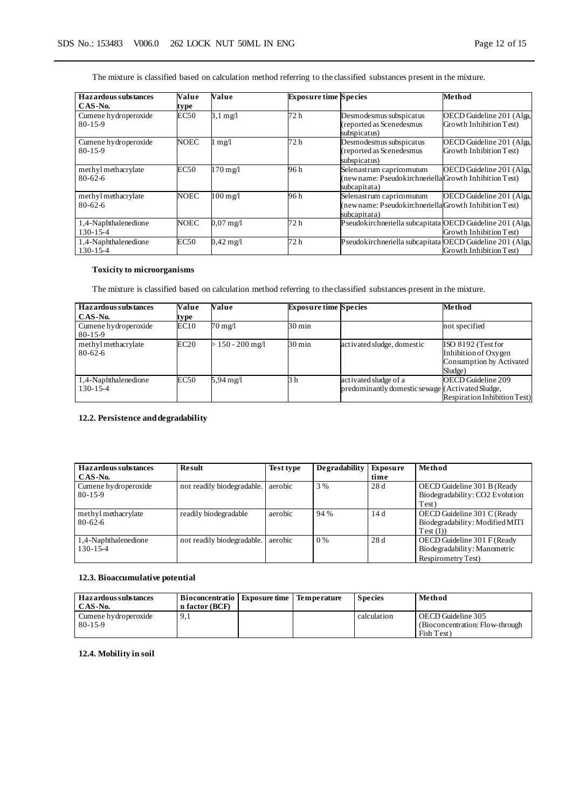The mixture is classified based on calculation method referring to the classified substances present in the mixture.

| Hazardous substances                   | Value       | Value                | <b>Exposure time Species</b> |                                                                                                   | Method                                               |
|----------------------------------------|-------------|----------------------|------------------------------|---------------------------------------------------------------------------------------------------|------------------------------------------------------|
| CAS-No.                                | type        |                      |                              |                                                                                                   |                                                      |
| Cumene hydroperoxide<br>$80 - 15 - 9$  | EC50        | $3.1 \text{ mg}/1$   | 72 h                         | Desmodesmus subspicatus<br>(reported as Scenedesmus<br>subspicatus)                               | OECD Guideline 201 (Alga.<br>Growth Inhibition Test) |
| Cumene hydroperoxide<br>$80 - 15 - 9$  | <b>NOEC</b> | mg/l                 | 72 h                         | Desmodesmus subspicatus<br>(reported as Scenedesmus<br>subspicatus)                               | OECD Guideline 201 (Alga.<br>Growth Inhibition Test) |
| methyl methacrylate<br>$80 - 62 - 6$   | EC50        | 170 mg/l             | 96 h                         | Selenastrum capricomutum<br>(newname: Pseudokirchneriella Growth Inhibition Test)<br>subcapitata) | OECD Guideline 201 (Alga.                            |
| methyl methacrylate<br>$80 - 62 - 6$   | <b>NOEC</b> | 100 mg/l             | 96 h                         | Selenastrum capricomutum<br>(newname: Pseudokirchneriella Growth Inhibition Test)<br>subcapitata) | OECD Guideline 201 (Alga,                            |
| 1,4-Naphthalenedione<br>$130 - 15 - 4$ | <b>NOEC</b> | $0.07 \text{ mg}$ /1 | 72 h                         | Pseudokirchneriella subcapitata OECD Guideline 201 (Alga,                                         | Growth Inhibition Test)                              |
| 1,4-Naphthalenedione<br>$130 - 15 - 4$ | EC50        | $0,42 \text{ mg}/1$  | 72 h                         | Pseudokirchneriella subcapitata OECD Guideline 201 (Alga,                                         | Growth Inhibition Test)                              |

#### **Toxicity to microorganisms**

The mixture is classified based on calculation method referring to the classified substances present in the mixture.

| Haz ardous substances                  | Value | Value               | <b>Exposure time Species</b> |                                                                           | Method                                                                            |
|----------------------------------------|-------|---------------------|------------------------------|---------------------------------------------------------------------------|-----------------------------------------------------------------------------------|
| CAS-No.                                | type  |                     |                              |                                                                           |                                                                                   |
| Cumene hydroperoxide<br>80-15-9        | EC10  | 70 mg/l             | 30 min                       |                                                                           | not specified                                                                     |
| methyl methacrylate<br>80-62-6         | EC20  | $> 150 - 200$ mg/l  | $30 \text{ min}$             | activated sludge, domestic                                                | ISO 8192 (Test for<br>Inhibition of Oxygen<br>Consumption by Activated<br>Sludge) |
| 1,4-Naphthalenedione<br>$130 - 15 - 4$ | EC50  | $5,94 \text{ mg}/1$ | 3 h                          | activated sludge of a<br>predominantly domestic sewage (Activated Sludge, | OECD Guideline 209<br><b>Respiration Inhibition Test</b> )                        |

### **12.2. Persistence and degradability**

| Hazardous substances<br>CAS-No.        | <b>Result</b>              | <b>Test type</b> | Degradability | <b>Exposure</b><br>time | Method                                                                            |
|----------------------------------------|----------------------------|------------------|---------------|-------------------------|-----------------------------------------------------------------------------------|
| Cumene hydroperoxide<br>$80 - 15 - 9$  | not readily biodegradable. | aerobic          | 3 %           | 28d                     | OECD Guideline 301 B (Ready<br>Biodegradability: CO2 Evolution<br>Test)           |
| methyl methacrylate<br>$80 - 62 - 6$   | readily biodegradable      | aerobic          | 94 %          | 14d                     | OECD Guideline 301 C (Ready<br>Biodegradability: Modified MITI<br>$Test$ (I))     |
| 1,4-Naphthalenedione<br>$130 - 15 - 4$ | not readily biodegradable. | aerobic          | 0%            | 28d                     | OECD Guideline 301 F (Ready<br>Biodegradability: Manometric<br>Respirometry Test) |

### **12.3. Bioaccumulative potential**

| <b>Hazardous substances</b><br>CAS-No. | Bioconcentratio<br>n factor (BCF) | <b>Exposure time</b> | Temperature | <b>Species</b> | Method                           |
|----------------------------------------|-----------------------------------|----------------------|-------------|----------------|----------------------------------|
| Cumene hydroperoxide                   | <b>7.I</b>                        |                      |             | calculation    | OECD Guideline 305               |
| $80 - 15 - 9$                          |                                   |                      |             |                | (Bioconcentration: Flow-through) |
|                                        |                                   |                      |             |                | Fish Test                        |

### **12.4. Mobility in soil**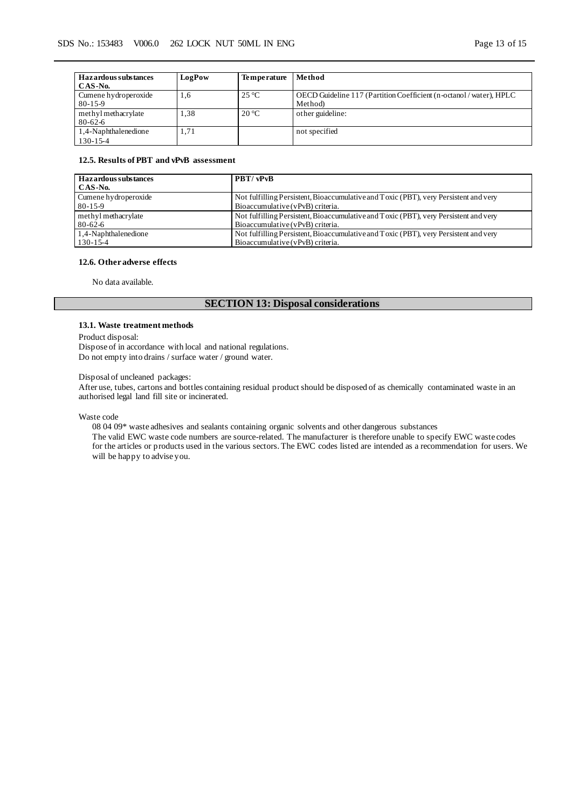| Hazardous substances | LogPow | <b>Temperature</b> | Method                                                              |
|----------------------|--------|--------------------|---------------------------------------------------------------------|
| CAS-No.              |        |                    |                                                                     |
| Cumene hydroperoxide | 1,6    | $25^{\circ}C$      | OECD Guideline 117 (Partition Coefficient (n-octanol / water), HPLC |
| $80 - 15 - 9$        |        |                    | Method)                                                             |
| methyl methacrylate  | 1.38   | $20^{\circ}$ C     | other guideline:                                                    |
| $80 - 62 - 6$        |        |                    |                                                                     |
| 1,4-Naphthalenedione | 1.71   |                    | not specified                                                       |
| $130 - 15 - 4$       |        |                    |                                                                     |

### **12.5. Results of PBT and vPvB assessment**

| Hazardous substances | PBT/vPvB                                                                             |
|----------------------|--------------------------------------------------------------------------------------|
| CAS-No.              |                                                                                      |
| Cumene hydroperoxide | Not fulfilling Persistent, Bioaccumulative and Toxic (PBT), very Persistent and very |
| $80 - 15 - 9$        | Bioaccumulative (vPvB) criteria.                                                     |
| methyl methacrylate  | Not fulfilling Persistent, Bioaccumulative and Toxic (PBT), very Persistent and very |
| $80 - 62 - 6$        | Bioaccumulative (vPvB) criteria.                                                     |
| 1,4-Naphthalenedione | Not fulfilling Persistent, Bioaccumulative and Toxic (PBT), very Persistent and very |
| $130 - 15 - 4$       | Bioaccumulative (vPvB) criteria.                                                     |

### **12.6. Other adverse effects**

No data available.

# **SECTION 13: Disposal considerations**

#### **13.1. Waste treatment methods**

Product disposal:

Dispose of in accordance with local and national regulations. Do not empty into drains / surface water / ground water.

Disposal of uncleaned packages:

After use, tubes, cartons and bottles containing residual product should be disposed of as chemically contaminated waste in an authorised legal land fill site or incinerated.

Waste code

08 04 09\* waste adhesives and sealants containing organic solvents and other dangerous substances

The valid EWC waste code numbers are source-related. The manufacturer is therefore unable to specify EWC waste codes for the articles or products used in the various sectors. The EWC codes listed are intended as a recommendation for users. We will be happy to advise you.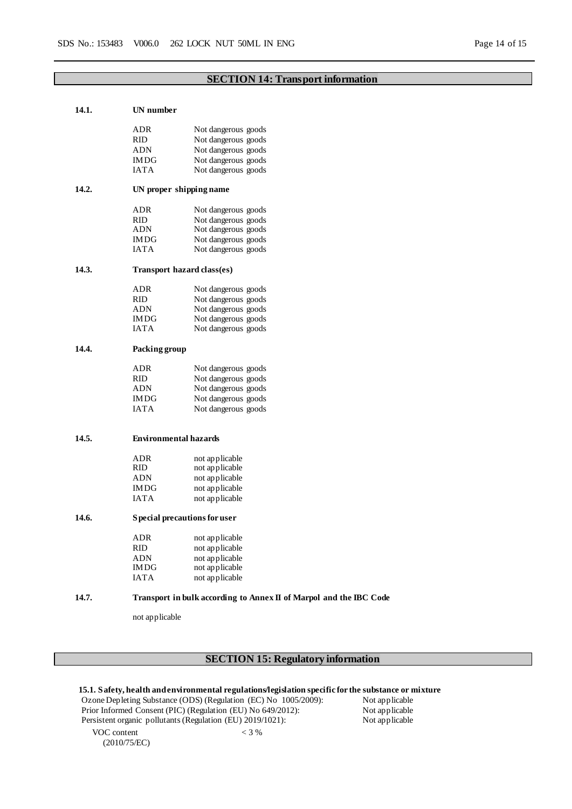# **SECTION 14: Transport information**

# **14.1. UN number** ADR Not dangerous goods RID Not dangerous goods<br>ADN Not dangerous goods ADN Not dangerous goods<br>
IMDG Not dangerous goods IMDG Not dangerous goods<br>
IATA Not dangerous goods Not dangerous goods **14.2. UN proper shipping name** ADR Not dangerous goods<br>
RID Not dangerous goods RID Not dangerous goods<br>ADN Not dangerous goods ADN Not dangerous goods<br>
IMDG Not dangerous goods IMDG Not dangerous goods<br>
IATA Not dangerous goods Not dangerous goods **14.3. Transport hazard class(es)** ADR Not dangerous goods<br>
RID Not dangerous goods RID Not dangerous goods<br>ADN Not dangerous goods ADN Not dangerous goods<br>
IMDG Not dangerous goods Not dangerous goods IATA Not dangerous goods **14.4. Packing group** ADR Not dangerous goods<br>
RID Not dangerous goods RID Not dangerous goods<br>ADN Not dangerous goods Not dangerous goods IMDG Not dangerous goods<br>IATA Not dangerous goods Not dangerous goods **14.5. Environmental hazards** ADR not applicable<br>RID not applicable RID not applicable<br>ADN not applicable ADN not applicable<br>IMDG not applicable not applicable IATA not applicable **14.6. Special precautions for user** ADR not applicable RID not applicable ADN not applicable IMDG not applicable IATA not applicable **14.7. Transport in bulk according to Annex II of Marpol and the IBC Code** not applicable

# **SECTION 15: Regulatory information**

|                                                                 | 15.1. Safety, health and environmental regulations/legislation specific for the substance or mixture |                |
|-----------------------------------------------------------------|------------------------------------------------------------------------------------------------------|----------------|
| Ozone Depleting Substance (ODS) (Regulation (EC) No 1005/2009): |                                                                                                      | Not applicable |
| Prior Informed Consent (PIC) (Regulation (EU) No 649/2012):     |                                                                                                      | Not applicable |
| Persistent organic pollutants (Regulation (EU) 2019/1021):      |                                                                                                      | Not applicable |
| VOC content                                                     | $<$ 3 %                                                                                              |                |